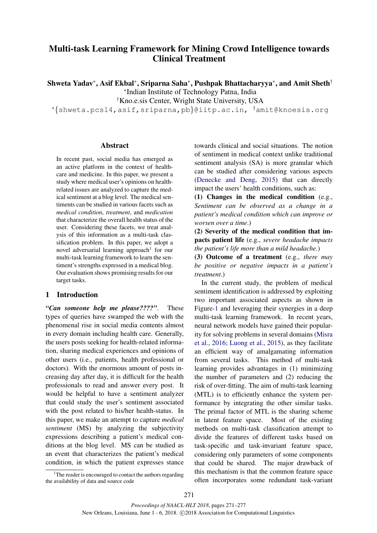# Multi-task Learning Framework for Mining Crowd Intelligence towards Clinical Treatment

Shweta Yadav<sup>∗</sup> , Asif Ekbal<sup>∗</sup> , Sriparna Saha<sup>∗</sup> , Pushpak Bhattacharyya<sup>∗</sup> , and Amit Sheth†

∗ Indian Institute of Technology Patna, India

†Kno.e.sis Center, Wright State University, USA

<sup>∗</sup>{shweta.pcs14,asif,sriparna,pb}@iitp.ac.in, †amit@knoesis.org

## Abstract

In recent past, social media has emerged as an active platform in the context of healthcare and medicine. In this paper, we present a study where medical user's opinions on healthrelated issues are analyzed to capture the medical sentiment at a blog level. The medical sentiments can be studied in various facets such as *medical condition*, *treatment*, and *medication* that characterize the overall health status of the user. Considering these facets, we treat analysis of this information as a multi-task classification problem. In this paper, we adopt a novel adversarial learning approach<sup>1</sup> for our multi-task learning framework to learn the sentiment's strengths expressed in a medical blog. Our evaluation shows promising results for our target tasks.

# 1 Introduction

*"Can someone help me please????"*. These types of queries have swamped the web with the phenomenal rise in social media contents almost in every domain including health care. Generally, the users posts seeking for health-related information, sharing medical experiences and opinions of other users (i.e., patients, health professional or doctors). With the enormous amount of posts increasing day after day, it is difficult for the health professionals to read and answer every post. It would be helpful to have a sentiment analyzer that could study the user's sentiment associated with the post related to his/her health-status. In this paper, we make an attempt to capture *medical sentiment* (MS) by analyzing the subjectivity expressions describing a patient's medical conditions at the blog level. MS can be studied as an event that characterizes the patient's medical condition, in which the patient expresses stance

<sup>1</sup>The reader is encouraged to contact the authors regarding the availability of data and source code

towards clinical and social situations. The notion of sentiment in medical context unlike traditional sentiment analysis (SA) is more granular which can be studied after considering various aspects (Denecke and Deng, 2015) that can directly impact the users' health conditions, such as:

(1) Changes in the medical condition (e.g., *Sentiment can be observed as a change in a patient's medical condition which can improve or worsen over a time*.)

(2) Severity of the medical condition that impacts patient life (e.g., *severe headache impacts the patient's life more than a mild headache.*)

(3) Outcome of a treatment (e.g., *there may be positive or negative impacts in a patient's treatment.*)

In the current study, the problem of medical sentiment identification is addressed by exploiting two important associated aspects as shown in Figure-1 and leveraging their synergies in a deep multi-task learning framework. In recent years, neural network models have gained their popularity for solving problems in several domains (Misra et al., 2016; Luong et al., 2015), as they facilitate an efficient way of amalgamating information from several tasks. This method of multi-task learning provides advantages in (1) minimizing the number of parameters and (2) reducing the risk of over-fitting. The aim of multi-task learning (MTL) is to efficiently enhance the system performance by integrating the other similar tasks. The primal factor of MTL is the sharing scheme in latent feature space. Most of the existing methods on multi-task classification attempt to divide the features of different tasks based on task-specific and task-invariant feature space, considering only parameters of some components that could be shared. The major drawback of this mechanism is that the common feature space often incorporates some redundant task-variant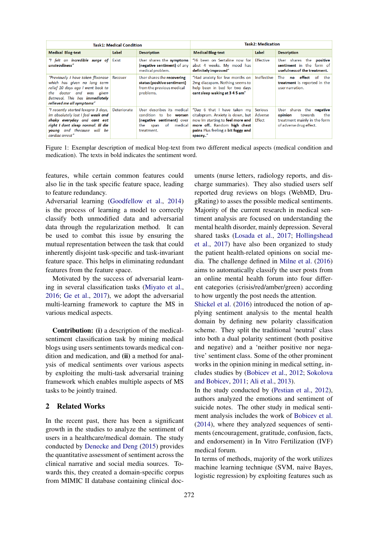| Task1: Medical Condition                                                                                                                                                                                          |                    |                                                                                                                                     | <b>Task2: Medication</b>                                                                                                                                                           |                                     |                                                                                                                            |  |
|-------------------------------------------------------------------------------------------------------------------------------------------------------------------------------------------------------------------|--------------------|-------------------------------------------------------------------------------------------------------------------------------------|------------------------------------------------------------------------------------------------------------------------------------------------------------------------------------|-------------------------------------|----------------------------------------------------------------------------------------------------------------------------|--|
| <b>Medical Blog-text</b>                                                                                                                                                                                          | Label              | <b>Description</b>                                                                                                                  | <b>Medical Blog-text</b>                                                                                                                                                           | Label                               | <b>Description</b>                                                                                                         |  |
| "I felt an incredible surge of<br>unsteadiness"                                                                                                                                                                   | <b>Exist</b>       | User shares the symptoms<br>(negative sentiment) of any<br>medical problem.                                                         | "Hi been on Sertaline now for<br>abut 4 weeks. My mood has<br>definitely improved"                                                                                                 | <b>Effective</b>                    | User shares<br>the<br>positive<br>sentiment in the<br>form of<br>usefulness of the treatment.                              |  |
| "Previously I have taken flixonase  <br>which has aiven no long term<br>relief 10 days ago I went back to<br>the<br>was given<br>doctor and<br>Betnesol. This has <b>immediately</b><br>relieved me all symptoms" | Recover            | User shares the recovering<br>status (positive sentiment)<br>from the previous medical<br>problems.                                 | "Had anxiety for few months on<br>2mg diazapam. Nothing seems to<br>help been in bed for two days<br>cant sleep waking at 345 am"                                                  | Ineffective                         | effect<br>-of<br>The<br>the<br>no<br>treatment is reported in the<br>user narration.                                       |  |
| "I recently started lexapro 3 days,<br>Im absolutely lost I feel weak and<br>shaky everyday and cant eat<br>right I dont sleep normal. Ill die<br>young and thecause will be<br>cardiac arrest"                   | <b>Deteriorate</b> | User describes its medical<br>condition to<br>be worsen<br>(negative sentiment) over<br>medical<br>the<br>of.<br>span<br>treatment. | "Day 6 that I have taken my<br>citalopram. Anxiety is down, but<br>now Im starting to feel more and<br>more off Random high chest<br>pains Plus feeling a bit foggy and<br>spacey" | <b>Serious</b><br>Adverse<br>Effect | shares the <b>negative</b><br>User<br>opinion<br>the<br>towards<br>treatment mainly in the form<br>of adverse drug effect. |  |

Figure 1: Exemplar description of medical blog-text from two different medical aspects (medical condition and medication). The texts in bold indicates the sentiment word.

features, while certain common features could also lie in the task specific feature space, leading to feature redundancy.

Adversarial learning (Goodfellow et al., 2014) is the process of learning a model to correctly classify both unmodified data and adversarial data through the regularization method. It can be used to combat this issue by ensuring the mutual representation between the task that could inherently disjoint task-specific and task-invariant feature space. This helps in eliminating redundant features from the feature space.

Motivated by the success of adversarial learning in several classification tasks (Miyato et al., 2016; Ge et al., 2017), we adopt the adversarial multi-learning framework to capture the MS in various medical aspects.

Contribution: (i) a description of the medicalsentiment classification task by mining medical blogs using users sentiments towards medical condition and medication, and (ii) a method for analysis of medical sentiments over various aspects by exploiting the multi-task adversarial training framework which enables multiple aspects of MS tasks to be jointly trained.

## 2 Related Works

In the recent past, there has been a significant growth in the studies to analyze the sentiment of users in a healthcare/medical domain. The study conducted by Denecke and Deng (2015) provides the quantitative assessment of sentiment across the clinical narrative and social media sources. Towards this, they created a domain-specific corpus from MIMIC II database containing clinical documents (nurse letters, radiology reports, and discharge summaries). They also studied users self reported drug reviews on blogs (WebMD, DrugRating) to asses the possible medical sentiments. Majority of the current research in medical sentiment analysis are focused on understanding the mental health disorder, mainly depression. Several shared tasks (Losada et al., 2017; Hollingshead et al., 2017) have also been organized to study the patient health-related opinions on social media. The challenge defined in Milne et al. (2016) aims to automatically classify the user posts from an online mental health forum into four different categories (crisis/red/amber/green) according to how urgently the post needs the attention.

Shickel et al. (2016) introduced the notion of applying sentiment analysis to the mental health domain by defining new polarity classification scheme. They split the traditional 'neutral' class into both a dual polarity sentiment (both positive and negative) and a 'neither positive nor negative' sentiment class. Some of the other prominent works in the opinion mining in medical setting, includes studies by (Bobicev et al., 2012; Sokolova and Bobicev, 2011; Ali et al., 2013).

In the study conducted by (Pestian et al., 2012), authors analyzed the emotions and sentiment of suicide notes. The other study in medical sentiment analysis includes the work of Bobicev et al. (2014), where they analyzed sequences of sentiments (encouragement, gratitude, confusion, facts, and endorsement) in In Vitro Fertilization (IVF) medical forum.

In terms of methods, majority of the work utilizes machine learning technique (SVM, naive Bayes, logistic regression) by exploiting features such as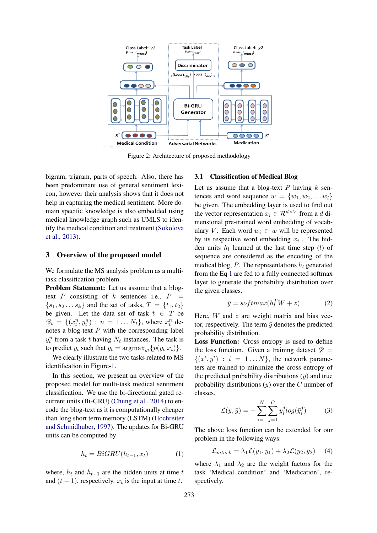

Figure 2: Architecture of proposed methodology

bigram, trigram, parts of speech. Also, there has been predominant use of general sentiment lexicon, however their analysis shows that it does not help in capturing the medical sentiment. More domain specific knowledge is also embedded using medical knowledge graph such as UMLS to identify the medical condition and treatment (Sokolova et al., 2013).

# 3 Overview of the proposed model

We formulate the MS analysis problem as a multitask classification problem.

Problem Statement: Let us assume that a blogtext P consisting of k sentences i.e.,  $P =$  $\{s_1, s_2 \dots s_k\}$  and the set of tasks,  $T = \{t_1, t_2\}$ be given. Let the data set of task  $t \in T$  be  $\mathscr{D}_t = \{(x_t^n, y_t^n) : n = 1...N_t\}$ , where  $x_t^n$  denotes a blog-text  $P$  with the corresponding label  $y_t^n$  from a task t having  $N_t$  instances. The task is to predict  $\bar{y}_t$  such that  $\bar{y}_t = \operatorname{argmax}_{y_t} \{p(y_t|x_t)\}.$ 

We clearly illustrate the two tasks related to MS identification in Figure-1.

In this section, we present an overview of the proposed model for multi-task medical sentiment classification. We use the bi-directional gated recurrent units (Bi-GRU) (Chung et al., 2014) to encode the blog-text as it is computationally cheaper than long short term memory (LSTM) (Hochreiter and Schmidhuber, 1997). The updates for Bi-GRU units can be computed by

$$
h_t = BiGRU(h_{t-1}, x_t)
$$
 (1)

where,  $h_t$  and  $h_{t-1}$  are the hidden units at time t and  $(t-1)$ , respectively.  $x_t$  is the input at time t.

#### 3.1 Classification of Medical Blog

Let us assume that a blog-text  $P$  having  $k$  sentences and word sequence  $w = \{w_1, w_2, \dots w_l\}$ be given. The embedding layer is used to find out the vector representation  $x_i \in \mathcal{R}^{d \times V}$  from a d dimensional pre-trained word embedding of vocabulary V. Each word  $w_i \in w$  will be represented by its respective word embedding  $x_i$ . The hidden units  $h_l$  learned at the last time step (*l*) of sequence are considered as the encoding of the medical blog,  $P$ . The representations  $h_l$  generated from the Eq 1 are fed to a fully connected softmax layer to generate the probability distribution over the given classes.

$$
\bar{y} = softmax(h_l^T W + z)
$$
 (2)

Here,  $W$  and  $z$  are weight matrix and bias vector, respectively. The term  $\bar{y}$  denotes the predicted probability distribution.

Loss Function: Cross entropy is used to define the loss function. Given a training dataset  $\mathscr{D}$  =  $\{(x^i, y^i) : i = 1...N\}$ , the network parameters are trained to minimize the cross entropy of the predicted probability distributions  $(\bar{y})$  and true probability distributions  $(y)$  over the C number of classes.

$$
\mathcal{L}(y,\bar{y}) = -\sum_{i=1}^{N} \sum_{j=1}^{C} y_i^j log(\bar{y}_i^j)
$$
 (3)

The above loss function can be extended for our problem in the following ways:

$$
\mathcal{L}_{mtask} = \lambda_1 \mathcal{L}(y_1, \bar{y}_1) + \lambda_2 \mathcal{L}(y_2, \bar{y}_2)
$$
 (4)

where  $\lambda_1$  and  $\lambda_2$  are the weight factors for the task 'Medical condition' and 'Medication', respectively.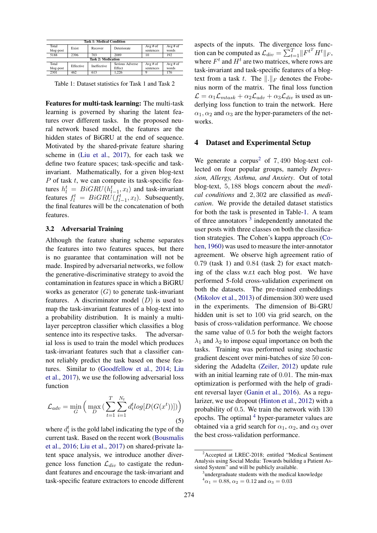| <b>Task 1: Medical Condition</b> |           |                    |                 |             |             |  |  |  |
|----------------------------------|-----------|--------------------|-----------------|-------------|-------------|--|--|--|
| Total                            | Exist     | Recover            | Deteriorate     | $Avg \# of$ | Avg $#$ of  |  |  |  |
| blog-post                        |           |                    |                 | sentences   | words       |  |  |  |
| 5188                             | 2396      | 703                | 2089            | 10          | 192         |  |  |  |
| <b>Task 2: Medication</b>        |           |                    |                 |             |             |  |  |  |
| Total                            | Effective | <b>Ineffective</b> | Serious Adverse | Avg $#$ of  | $Avg \# of$ |  |  |  |
| blog-post                        |           |                    | Effect          | sentences   | words       |  |  |  |
| 2301                             | 462       | 613                | 1.226           |             | 176         |  |  |  |

Table 1: Dataset statistics for Task 1 and Task 2

Features for multi-task learning: The multi-task learning is governed by sharing the latent features over different tasks. In the proposed neural network based model, the features are the hidden states of BiGRU at the end of sequence. Motivated by the shared-private feature sharing scheme in (Liu et al., 2017), for each task we define two feature spaces; task-specific and taskinvariant. Mathematically, for a given blog-text  $P$  of task  $t$ , we can compute its task-specific features  $h_l^t = BiGRU(h_{l-1}^t, x_l)$  and task-invariant features  $f_l^t = BiGRU(f_{l-1}^t, x_l)$ . Subsequently, the final features will be the concatenation of both features.

#### 3.2 Adversarial Training

Although the feature sharing scheme separates the features into two features spaces, but there is no guarantee that contamination will not be made. Inspired by adversarial networks, we follow the generative-discriminative strategy to avoid the contamination in features space in which a BiGRU works as generator  $(G)$  to generate task-invariant features. A discriminator model  $(D)$  is used to map the task-invariant features of a blog-text into a probability distribution. It is mainly a multilayer perceptron classifier which classifies a blog sentence into its respective tasks. The adversarial loss is used to train the model which produces task-invariant features such that a classifier cannot reliably predict the task based on these features. Similar to (Goodfellow et al., 2014; Liu et al., 2017), we use the following adversarial loss function

$$
\mathcal{L}_{adv} = \min_{G} \left( \max_{D} \left( \sum_{t=1}^{T} \sum_{i=1}^{N_t} d_i^t log[D(G(x^t))]) \right) \right)
$$
\n(5)

where  $d_i^t$  is the gold label indicating the type of the current task. Based on the recent work (Bousmalis et al., 2016; Liu et al., 2017) on shared-private latent space analysis, we introduce another divergence loss function  $\mathcal{L}_{div}$  to castigate the redundant features and encourage the task-invariant and task-specific feature extractors to encode different aspects of the inputs. The divergence loss function can be computed as  $\mathcal{L}_{div} = \sum_{t=1}^{T} ||F^{t}H^{t}||_F$ , where  $F<sup>t</sup>$  and  $H<sup>t</sup>$  are two matrices, where rows are task-invariant and task-specific features of a blogtext from a task t. The  $\Vert . \Vert_F$  denotes the Frobenius norm of the matrix. The final loss function  $\mathcal{L} = \alpha_1 \mathcal{L}_{mtask} + \alpha_2 \mathcal{L}_{adv} + \alpha_3 \mathcal{L}_{div}$  is used as underlying loss function to train the network. Here  $\alpha_1, \alpha_2$  and  $\alpha_3$  are the hyper-parameters of the networks.

## 4 Dataset and Experimental Setup

We generate a corpus<sup>2</sup> of  $7,490$  blog-text collected on four popular groups, namely *Depression, Allergy, Asthma, and Anxiety*. Out of total blog-text, 5, 188 blogs concern about the *medical conditions* and 2, 302 are classified as *medication*. We provide the detailed dataset statistics for both the task is presented in Table-1. A team of three annotators  $3$  independently annotated the user posts with three classes on both the classification strategies. The Cohen's kappa approach (Cohen, 1960) was used to measure the inter-annotator agreement. We observe high agreement ratio of 0.79 (task 1) and 0.84 (task 2) for exact matching of the class w.r.t each blog post. We have performed 5-fold cross-validation experiment on both the datasets. The pre-trained embeddings (Mikolov et al., 2013) of dimension 300 were used in the experiments. The dimension of Bi-GRU hidden unit is set to 100 via grid search, on the basis of cross-validation performance. We choose the same value of 0.5 for both the weight factors  $\lambda_1$  and  $\lambda_2$  to impose equal importance on both the tasks. Training was performed using stochastic gradient descent over mini-batches of size 50 considering the Adadelta (Zeiler, 2012) update rule with an initial learning rate of 0.01. The min-max optimization is performed with the help of gradient reversal layer (Ganin et al., 2016). As a regularizer, we use dropout (Hinton et al., 2012) with a probability of 0.5. We train the network with 130 epochs. The optimal <sup>4</sup> hyper-parameter values are obtained via a grid search for  $\alpha_1$ ,  $\alpha_2$ , and  $\alpha_3$  over the best cross-validation performance.

<sup>&</sup>lt;sup>2</sup> Accepted at LREC-2018; entitled "Medical Sentiment Analysis using Social Media: Towards building a Patient Assisted System" and will be publicly available.

<sup>&</sup>lt;sup>3</sup>undergraduate students with the medical knowledge  $^{4} \alpha_1 = 0.88$ ,  $\alpha_2 = 0.12$  and  $\alpha_3 = 0.03$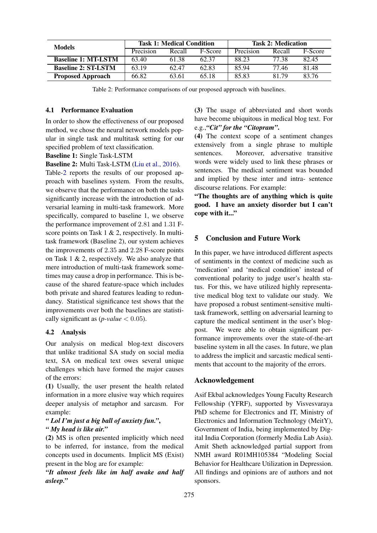| <b>Models</b>              | <b>Task 1: Medical Condition</b> |        |         | <b>Task 2: Medication</b> |        |         |
|----------------------------|----------------------------------|--------|---------|---------------------------|--------|---------|
|                            | Precision                        | Recall | F-Score | Precision                 | Recall | F-Score |
| <b>Baseline 1: MT-LSTM</b> | 63.40                            | 61.38  | 62.37   | 88.23                     | 77 38  | 82.45   |
| <b>Baseline 2: ST-LSTM</b> | 63.19                            | 62.47  | 62.83   | 85.94                     | 77.46  | 81.48   |
| <b>Proposed Approach</b>   | 66.82                            | 63.61  | 65.18   | 85.83                     | 81.79  | 83.76   |

Table 2: Performance comparisons of our proposed approach with baselines.

#### 4.1 Performance Evaluation

In order to show the effectiveness of our proposed method, we chose the neural network models popular in single task and multitask setting for our specified problem of text classification.

Baseline 1: Single Task-LSTM

Baseline 2: Multi Task-LSTM (Liu et al., 2016).

Table-2 reports the results of our proposed approach with baselines system. From the results, we observe that the performance on both the tasks significantly increase with the introduction of adversarial learning in multi-task framework. More specifically, compared to baseline 1, we observe the performance improvement of 2.81 and 1.31 Fscore points on Task 1 & 2, respectively. In multitask framework (Baseline 2), our system achieves the improvements of 2.35 and 2.28 F-score points on Task 1 & 2, respectively. We also analyze that mere introduction of multi-task framework sometimes may cause a drop in performance. This is because of the shared feature-space which includes both private and shared features leading to redundancy. Statistical significance test shows that the improvements over both the baselines are statistically significant as  $(p\n-value < 0.05)$ .

## 4.2 Analysis

Our analysis on medical blog-text discovers that unlike traditional SA study on social media text, SA on medical text owes several unique challenges which have formed the major causes of the errors:

(1) Usually, the user present the health related information in a more elusive way which requires deeper analysis of metaphor and sarcasm. For example:

## *" Lol I'm just a big ball of anxiety fun."*, *" My head is like air."*

(2) MS is often presented implicitly which need to be inferred, for instance, from the medical concepts used in documents. Implicit MS (Exist) present in the blog are for example:

*"It almost feels like im half awake and half asleep."*

(3) The usage of abbreviated and short words have become ubiquitous in medical blog text. For e.g.,*"Cit" for the "Citopram"*.

(4) The context scope of a sentiment changes extensively from a single phrase to multiple sentences. Moreover, adversative transitive words were widely used to link these phrases or sentences. The medical sentiment was bounded and implied by these inter and intra- sentence discourse relations. For example:

"The thoughts are of anything which is quite good. I have an anxiety disorder but I can't cope with it..."

# 5 Conclusion and Future Work

In this paper, we have introduced different aspects of sentiments in the context of medicine such as 'medication' and 'medical condition' instead of conventional polarity to judge user's health status. For this, we have utilized highly representative medical blog text to validate our study. We have proposed a robust sentiment-sensitive multitask framework, settling on adversarial learning to capture the medical sentiment in the user's blogpost. We were able to obtain significant performance improvements over the state-of-the-art baseline system in all the cases. In future, we plan to address the implicit and sarcastic medical sentiments that account to the majority of the errors.

### Acknowledgement

Asif Ekbal acknowledges Young Faculty Research Fellowship (YFRF), supported by Visvesvaraya PhD scheme for Electronics and IT, Ministry of Electronics and Information Technology (MeitY), Government of India, being implemented by Digital India Corporation (formerly Media Lab Asia). Amit Sheth acknowledged partial support from NMH award R01MH105384 "Modeling Social Behavior for Healthcare Utilization in Depression. All findings and opinions are of authors and not sponsors.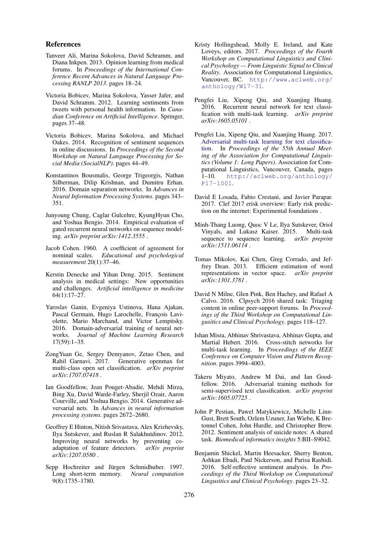#### References

- Tanveer Ali, Marina Sokolova, David Schramm, and Diana Inkpen. 2013. Opinion learning from medical forums. In *Proceedings of the International Conference Recent Advances in Natural Language Processing RANLP 2013*. pages 18–24.
- Victoria Bobicev, Marina Sokolova, Yasser Jafer, and David Schramm. 2012. Learning sentiments from tweets with personal health information. In *Canadian Conference on Artificial Intelligence*. Springer, pages 37–48.
- Victoria Bobicev, Marina Sokolova, and Michael Oakes. 2014. Recognition of sentiment sequences in online discussions. In *Proceedings of the Second Workshop on Natural Language Processing for Social Media (SocialNLP)*. pages 44–49.
- Konstantinos Bousmalis, George Trigeorgis, Nathan Silberman, Dilip Krishnan, and Dumitru Erhan. 2016. Domain separation networks. In *Advances in Neural Information Processing Systems*. pages 343– 351.
- Junyoung Chung, Caglar Gulcehre, KyungHyun Cho, and Yoshua Bengio. 2014. Empirical evaluation of gated recurrent neural networks on sequence modeling. *arXiv preprint arXiv:1412.3555* .
- Jacob Cohen. 1960. A coefficient of agreement for nominal scales. *Educational and psychological measurement* 20(1):37–46.
- Kerstin Denecke and Yihan Deng. 2015. Sentiment analysis in medical settings: New opportunities and challenges. *Artificial intelligence in medicine* 64(1):17–27.
- Yaroslav Ganin, Evgeniya Ustinova, Hana Ajakan, Pascal Germain, Hugo Larochelle, François Laviolette, Mario Marchand, and Victor Lempitsky. 2016. Domain-adversarial training of neural networks. *Journal of Machine Learning Research* 17(59):1–35.
- ZongYuan Ge, Sergey Demyanov, Zetao Chen, and Rahil Garnavi. 2017. Generative openmax for multi-class open set classification. *arXiv preprint arXiv:1707.07418* .
- Ian Goodfellow, Jean Pouget-Abadie, Mehdi Mirza, Bing Xu, David Warde-Farley, Sherjil Ozair, Aaron Courville, and Yoshua Bengio. 2014. Generative adversarial nets. In *Advances in neural information processing systems*. pages 2672–2680.
- Geoffrey E Hinton, Nitish Srivastava, Alex Krizhevsky, Ilya Sutskever, and Ruslan R Salakhutdinov. 2012. Improving neural networks by preventing coadaptation of feature detectors. *arXiv preprint arXiv:1207.0580* .
- Sepp Hochreiter and Jürgen Schmidhuber. 1997. Long short-term memory. *Neural computation* 9(8):1735–1780.
- Kristy Hollingshead, Molly E. Ireland, and Kate Loveys, editors. 2017. *Proceedings of the Fourth Workshop on Computational Linguistics and Clinical Psychology — From Linguistic Signal to Clinical Reality*. Association for Computational Linguistics, Vancouver, BC. http://www.aclweb.org/ anthology/W17-31.
- Pengfei Liu, Xipeng Qiu, and Xuanjing Huang. 2016. Recurrent neural network for text classification with multi-task learning. *arXiv preprint arXiv:1605.05101* .
- Pengfei Liu, Xipeng Qiu, and Xuanjing Huang. 2017. Adversarial multi-task learning for text classification. In *Proceedings of the 55th Annual Meeting of the Association for Computational Linguistics (Volume 1: Long Papers)*. Association for Computational Linguistics, Vancouver, Canada, pages 1–10. http://aclweb.org/anthology/ P17-1001.
- David E Losada, Fabio Crestani, and Javier Parapar. 2017. Clef 2017 erisk overview: Early risk prediction on the internet: Experimental foundations .
- Minh-Thang Luong, Quoc V Le, Ilya Sutskever, Oriol Vinyals, and Lukasz Kaiser. 2015. Multi-task sequence to sequence learning. *arXiv preprint arXiv:1511.06114* .
- Tomas Mikolov, Kai Chen, Greg Corrado, and Jeffrey Dean. 2013. Efficient estimation of word representations in vector space. *arXiv preprint arXiv:1301.3781* .
- David N Milne, Glen Pink, Ben Hachey, and Rafael A Calvo. 2016. Clpsych 2016 shared task: Triaging content in online peer-support forums. In *Proceedings of the Third Workshop on Computational Lingusitics and Clinical Psychology*. pages 118–127.
- Ishan Misra, Abhinav Shrivastava, Abhinav Gupta, and Martial Hebert. 2016. Cross-stitch networks for multi-task learning. In *Proceedings of the IEEE Conference on Computer Vision and Pattern Recognition*. pages 3994–4003.
- Takeru Miyato, Andrew M Dai, and Ian Goodfellow. 2016. Adversarial training methods for semi-supervised text classification. *arXiv preprint arXiv:1605.07725* .
- John P Pestian, Pawel Matykiewicz, Michelle Linn-Gust, Brett South, Ozlem Uzuner, Jan Wiebe, K Bretonnel Cohen, John Hurdle, and Christopher Brew. 2012. Sentiment analysis of suicide notes: A shared task. *Biomedical informatics insights* 5:BII–S9042.
- Benjamin Shickel, Martin Heesacker, Sherry Benton, Ashkan Ebadi, Paul Nickerson, and Parisa Rashidi. 2016. Self-reflective sentiment analysis. In *Proceedings of the Third Workshop on Computational Lingusitics and Clinical Psychology*. pages 23–32.